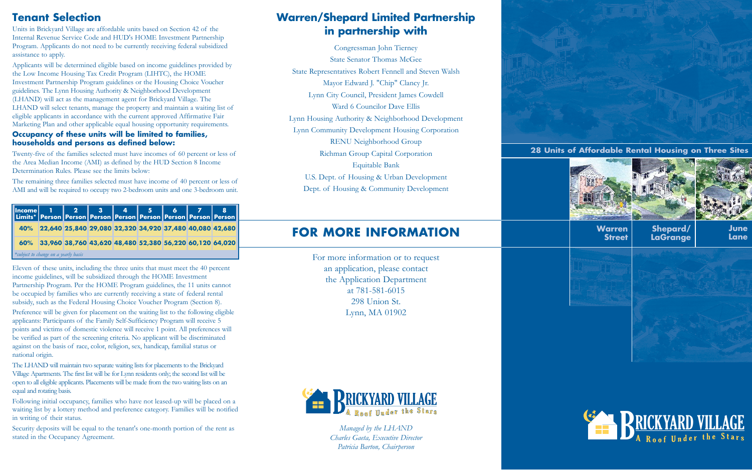## **Tenant Selection**

Units in Brickyard Village are affordable units based on Section 42 of the Internal Revenue Service Code and HUD's HOME Investment Partnership Program. Applicants do not need to be currently receiving federal subsidized assistance to apply.

Applicants will be determined eligible based on income guidelines provided by the Low Income Housing Tax Credit Program (LIHTC), the HOME Investment Partnership Program guidelines or the Housing Choice Voucher guidelines. The Lynn Housing Authority & Neighborhood Development (LHAND) will act as the management agent for Brickyard Village. The LHAND will select tenants, manage the property and maintain a waiting list of eligible applicants in accordance with the current approved Affirmative Fair Marketing Plan and other applicable equal housing opportunity requirements.

#### **Occupancy of these units will be limited to families, households and persons as defined below:**

Twenty-five of the families selected must have incomes of 60 percent or less of the Area Median Income (AMI) as defined by the HUD Section 8 Income Determination Rules. Please see the limits below:

The remaining three families selected must have income of 40 percent or less of AMI and will be required to occupy two 2-bedroom units and one 3-bedroom unit.

Eleven of these units, including the three units that must meet the 40 percent income guidelines, will be subsidized through the HOME Investment Partnership Program. Per the HOME Program guidelines, the 11 units cannot be occupied by families who are currently receiving a state of federal rental subsidy, such as the Federal Housing Choice Voucher Program (Section 8).

Preference will be given for placement on the waiting list to the following eligible applicants: Participants of the Family Self-Sufficiency Program will receive 5 points and victims of domestic violence will receive 1 point. All preferences will be verified as part of the screening criteria. No applicant will be discriminated against on the basis of race, color, religion, sex, handicap, familial status or national origin.

The LHAND will maintain two separate waiting lists for placements to the Brickyard Village Apartments. The first list will be for Lynn residents only; the second list will be open to all eligible applicants. Placements will be made from the two waiting lists on an equal and rotating basis.

Following initial occupancy, families who have not leased-up will be placed on a waiting list by a lottery method and preference category. Families will be notified in writing of their status.

Security deposits will be equal to the tenant's one-month portion of the rent as stated in the Occupancy Agreement.

**28 Units of Affordable Rental Housing on Three Sites**



#### **Warren Street**





### **Shepard/ LaGrange**





## **FOR MORE INFORMATION**

For more information or to request an application, please contact the Application Department at 781-581-6015 298 Union St. Lynn, MA 01902



## **Warren/Shepard Limited Partnership in partnership with**

| Income 1 2 3 4 5 6 7 8<br>Limits* Person Person Person Person Person Person Person |                                                             |  |  |  |  |  |  |  |
|------------------------------------------------------------------------------------|-------------------------------------------------------------|--|--|--|--|--|--|--|
|                                                                                    | 40% 22,640 25,840 29,080 32,320 34,920 37,480 40,080 42,680 |  |  |  |  |  |  |  |
|                                                                                    | 60% 33,960 38,760 43,620 48,480 52,380 56,220 60,120 64,020 |  |  |  |  |  |  |  |
| *subject to change on a yearly basis                                               |                                                             |  |  |  |  |  |  |  |

Congressman John Tierney State Senator Thomas McGee State Representatives Robert Fennell and Steven Walsh Mayor Edward J. "Chip" Clancy Jr. Lynn City Council, President James Cowdell Ward 6 Councilor Dave Ellis Lynn Housing Authority & Neighborhood Development Lynn Community Development Housing Corporation RENU Neighborhood Group Richman Group Capital Corporation Equitable Bank U.S. Dept. of Housing & Urban Development Dept. of Housing & Community Development

> *Managed by the LHAND Charles Gaeta, Executive Director Patricia Barton, Chairperson*